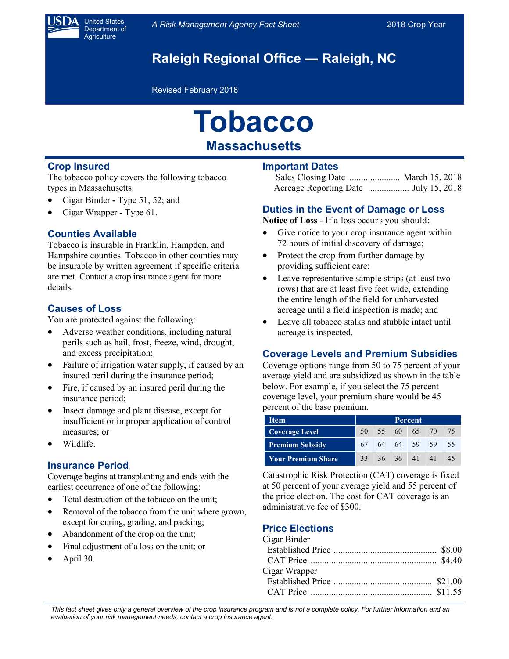

United States Department of **Agriculture** 

# **Raleigh Regional Office — Raleigh, NC**

Revised February 2018

# **Tobacco Massachusetts**

### **Crop Insured**

The tobacco policy covers the following tobacco types in Massachusetts:

- Cigar Binder **-** Type 51, 52; and
- Cigar Wrapper **-** Type 61.

#### **Counties Available**

Tobacco is insurable in Franklin, Hampden, and Hampshire counties. Tobacco in other counties may be insurable by written agreement if specific criteria are met. Contact a crop insurance agent for more details.

#### **Causes of Loss**

You are protected against the following:

- Adverse weather conditions, including natural perils such as hail, frost, freeze, wind, drought, and excess precipitation;
- Failure of irrigation water supply, if caused by an insured peril during the insurance period;
- Fire, if caused by an insured peril during the insurance period;
- Insect damage and plant disease, except for insufficient or improper application of control measures; or
- Wildlife.

#### **Insurance Period**

Coverage begins at transplanting and ends with the earliest occurrence of one of the following:

- Total destruction of the tobacco on the unit;
- Removal of the tobacco from the unit where grown, except for curing, grading, and packing;
- Abandonment of the crop on the unit;
- Final adjustment of a loss on the unit; or
- April 30.

#### **Important Dates**

#### **Duties in the Event of Damage or Loss**

**Notice of Loss -** If a loss occurs you should:

- Give notice to your crop insurance agent within 72 hours of initial discovery of damage;
- Protect the crop from further damage by providing sufficient care;
- Leave representative sample strips (at least two rows) that are at least five feet wide, extending the entire length of the field for unharvested acreage until a field inspection is made; and
- Leave all tobacco stalks and stubble intact until acreage is inspected.

#### **Coverage Levels and Premium Subsidies**

Coverage options range from 50 to 75 percent of your average yield and are subsidized as shown in the table below. For example, if you select the 75 percent coverage level, your premium share would be 45 percent of the base premium.

| <b>Item</b>               | Percent |  |                |  |                   |    |
|---------------------------|---------|--|----------------|--|-------------------|----|
| <b>Coverage Level</b>     |         |  |                |  | 50 55 60 65 70 75 |    |
| <b>Premium Subsidy</b>    |         |  |                |  | 67 64 64 59 59    | 55 |
| <b>Your Premium Share</b> |         |  | 33 36 36 41 41 |  |                   | 45 |

Catastrophic Risk Protection (CAT) coverage is fixed at 50 percent of your average yield and 55 percent of the price election. The cost for CAT coverage is an administrative fee of \$300.

## **Price Elections**

| Cigar Binder  |  |
|---------------|--|
|               |  |
|               |  |
| Cigar Wrapper |  |
|               |  |
|               |  |

*This fact sheet gives only a general overview of the crop insurance program and is not a complete policy. For further information and an evaluation of your risk management needs, contact a crop insurance agent.*